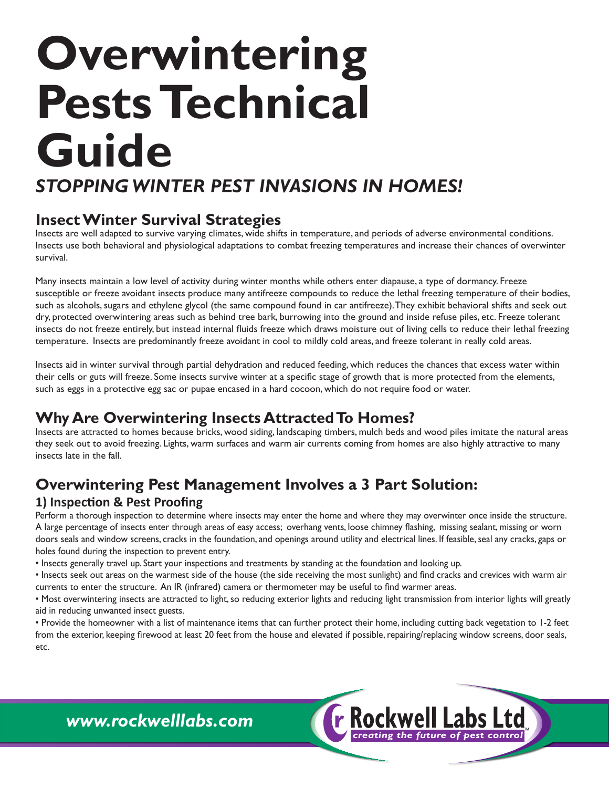# **Overwintering Pests Technical Guide**

## *STOPPING WINTER PEST INVASIONS IN HOMES!*

### **Insect Winter Survival Strategies**

Insects are well adapted to survive varying climates, wide shifts in temperature, and periods of adverse environmental conditions. Insects use both behavioral and physiological adaptations to combat freezing temperatures and increase their chances of overwinter survival.

Many insects maintain a low level of activity during winter months while others enter diapause, a type of dormancy. Freeze susceptible or freeze avoidant insects produce many antifreeze compounds to reduce the lethal freezing temperature of their bodies, such as alcohols, sugars and ethylene glycol (the same compound found in car antifreeze). They exhibit behavioral shifts and seek out dry, protected overwintering areas such as behind tree bark, burrowing into the ground and inside refuse piles, etc. Freeze tolerant insects do not freeze entirely, but instead internal fluids freeze which draws moisture out of living cells to reduce their lethal freezing temperature. Insects are predominantly freeze avoidant in cool to mildly cold areas, and freeze tolerant in really cold areas.

Insects aid in winter survival through partial dehydration and reduced feeding, which reduces the chances that excess water within their cells or guts will freeze. Some insects survive winter at a specific stage of growth that is more protected from the elements, such as eggs in a protective egg sac or pupae encased in a hard cocoon, which do not require food or water.

## **Why Are Overwintering Insects Attracted To Homes?**

Insects are attracted to homes because bricks, wood siding, landscaping timbers, mulch beds and wood piles imitate the natural areas they seek out to avoid freezing. Lights, warm surfaces and warm air currents coming from homes are also highly attractive to many insects late in the fall.

## **Overwintering Pest Management Involves a 3 Part Solution:**

#### **1) Inspection & Pest Proofing**

Perform a thorough inspection to determine where insects may enter the home and where they may overwinter once inside the structure. A large percentage of insects enter through areas of easy access; overhang vents, loose chimney flashing, missing sealant, missing or worn doors seals and window screens, cracks in the foundation, and openings around utility and electrical lines. If feasible, seal any cracks, gaps or holes found during the inspection to prevent entry.

• Insects generally travel up. Start your inspections and treatments by standing at the foundation and looking up.

• Insects seek out areas on the warmest side of the house (the side receiving the most sunlight) and find cracks and crevices with warm air currents to enter the structure. An IR (infrared) camera or thermometer may be useful to find warmer areas.

• Most overwintering insects are attracted to light, so reducing exterior lights and reducing light transmission from interior lights will greatly aid in reducing unwanted insect guests.

• Provide the homeowner with a list of maintenance items that can further protect their home, including cutting back vegetation to 1-2 feet from the exterior, keeping firewood at least 20 feet from the house and elevated if possible, repairing/replacing window screens, door seals, etc.

*creating the future of pest control*

r Rockwell Labs

*www.rockwelllabs.com*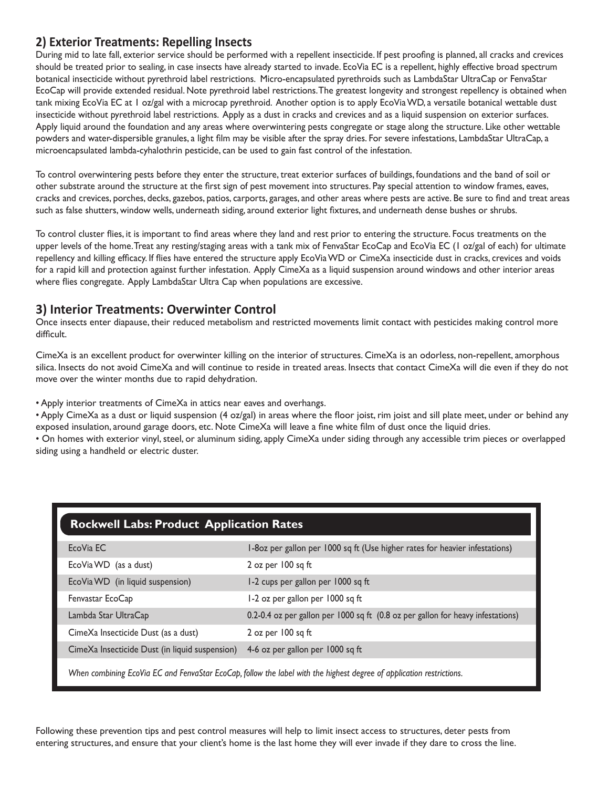#### **2) Exterior Treatments: Repelling Insects**

During mid to late fall, exterior service should be performed with a repellent insecticide. If pest proofing is planned, all cracks and crevices should be treated prior to sealing, in case insects have already started to invade. EcoVia EC is a repellent, highly effective broad spectrum botanical insecticide without pyrethroid label restrictions. Micro-encapsulated pyrethroids such as LambdaStar UltraCap or FenvaStar EcoCap will provide extended residual. Note pyrethroid label restrictions. The greatest longevity and strongest repellency is obtained when tank mixing EcoVia EC at 1 oz/gal with a microcap pyrethroid. Another option is to apply EcoVia WD, a versatile botanical wettable dust insecticide without pyrethroid label restrictions. Apply as a dust in cracks and crevices and as a liquid suspension on exterior surfaces. Apply liquid around the foundation and any areas where overwintering pests congregate or stage along the structure. Like other wettable powders and water-dispersible granules, a light film may be visible after the spray dries. For severe infestations, LambdaStar UltraCap, a microencapsulated lambda-cyhalothrin pesticide, can be used to gain fast control of the infestation.

To control overwintering pests before they enter the structure, treat exterior surfaces of buildings, foundations and the band of soil or other substrate around the structure at the first sign of pest movement into structures. Pay special attention to window frames, eaves, cracks and crevices, porches, decks, gazebos, patios, carports, garages, and other areas where pests are active. Be sure to find and treat areas such as false shutters, window wells, underneath siding, around exterior light fixtures, and underneath dense bushes or shrubs.

To control cluster flies, it is important to find areas where they land and rest prior to entering the structure. Focus treatments on the upper levels of the home. Treat any resting/staging areas with a tank mix of FenvaStar EcoCap and EcoVia EC (1 oz/gal of each) for ultimate repellency and killing efficacy. If flies have entered the structure apply EcoVia WD or CimeXa insecticide dust in cracks, crevices and voids for a rapid kill and protection against further infestation. Apply CimeXa as a liquid suspension around windows and other interior areas where flies congregate. Apply LambdaStar Ultra Cap when populations are excessive.

#### **3) Interior Treatments: Overwinter Control**

Once insects enter diapause, their reduced metabolism and restricted movements limit contact with pesticides making control more difficult.

CimeXa is an excellent product for overwinter killing on the interior of structures. CimeXa is an odorless, non-repellent, amorphous silica. Insects do not avoid CimeXa and will continue to reside in treated areas. Insects that contact CimeXa will die even if they do not move over the winter months due to rapid dehydration.

• Apply interior treatments of CimeXa in attics near eaves and overhangs.

• Apply CimeXa as a dust or liquid suspension (4 oz/gal) in areas where the floor joist, rim joist and sill plate meet, under or behind any exposed insulation, around garage doors, etc. Note CimeXa will leave a fine white film of dust once the liquid dries.

• On homes with exterior vinyl, steel, or aluminum siding, apply CimeXa under siding through any accessible trim pieces or overlapped siding using a handheld or electric duster.

| <b>Rockwell Labs: Product Application Rates</b>                                                                      |                                                                                 |
|----------------------------------------------------------------------------------------------------------------------|---------------------------------------------------------------------------------|
| EcoVia EC                                                                                                            | I-80z per gallon per 1000 sq ft (Use higher rates for heavier infestations)     |
| EcoVia WD (as a dust)                                                                                                | 2 oz per $100$ sq ft                                                            |
| EcoVia WD (in liquid suspension)                                                                                     | I-2 cups per gallon per 1000 sq ft                                              |
| Fenvastar EcoCap                                                                                                     | I-2 oz per gallon per 1000 sq ft                                                |
| Lambda Star UltraCap                                                                                                 | 0.2-0.4 oz per gallon per 1000 sq ft (0.8 oz per gallon for heavy infestations) |
| CimeXa Insecticide Dust (as a dust)                                                                                  | 2 oz per $100$ sq ft                                                            |
| CimeXa Insecticide Dust (in liquid suspension)                                                                       | 4-6 oz per gallon per 1000 sq ft                                                |
| When combining EcoVia EC and FenvaStar EcoCap, follow the label with the highest degree of application restrictions. |                                                                                 |

Following these prevention tips and pest control measures will help to limit insect access to structures, deter pests from entering structures, and ensure that your client's home is the last home they will ever invade if they dare to cross the line.